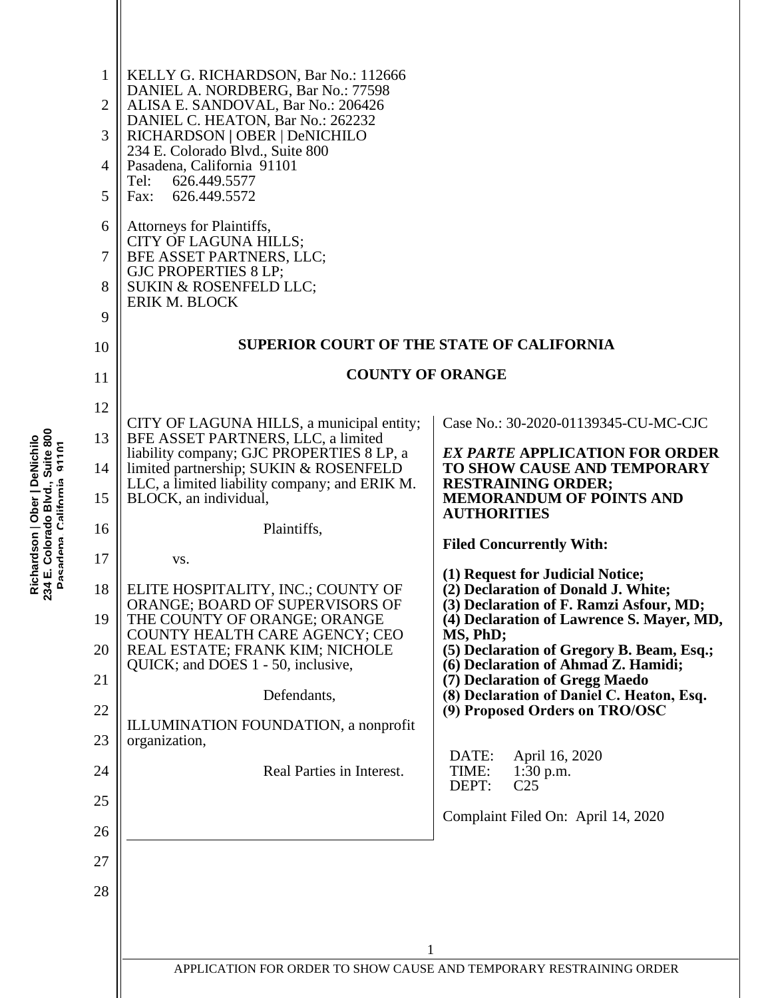| 1              | KELLY G. RICHARDSON, Bar No.: 112666<br>DANIEL A. NORDBERG, Bar No.: 77598                              |                                                                                              |
|----------------|---------------------------------------------------------------------------------------------------------|----------------------------------------------------------------------------------------------|
| $\overline{2}$ | ALISA E. SANDOVAL, Bar No.: 206426<br>DANIEL C. HEATON, Bar No.: 262232                                 |                                                                                              |
| 3              | RICHARDSON   OBER   DeNICHILO<br>234 E. Colorado Blvd., Suite 800                                       |                                                                                              |
| 4              | Pasadena, California 91101<br>Tel:<br>626.449.5577                                                      |                                                                                              |
| 5              | Fax:<br>626.449.5572                                                                                    |                                                                                              |
| 6              | Attorneys for Plaintiffs,<br>CITY OF LAGUNA HILLS;                                                      |                                                                                              |
| 7              | BFE ASSET PARTNERS, LLC;<br><b>GJC PROPERTIES 8 LP;</b>                                                 |                                                                                              |
| 8              | SUKIN & ROSENFELD LLC;<br><b>ERIK M. BLOCK</b>                                                          |                                                                                              |
| 9<br>10        | <b>SUPERIOR COURT OF THE STATE OF CALIFORNIA</b>                                                        |                                                                                              |
| 11             | <b>COUNTY OF ORANGE</b>                                                                                 |                                                                                              |
| 12             |                                                                                                         |                                                                                              |
| 13             | CITY OF LAGUNA HILLS, a municipal entity;<br>BFE ASSET PARTNERS, LLC, a limited                         | Case No.: 30-2020-01139345-CU-MC-CJC                                                         |
| 14             | liability company; GJC PROPERTIES 8 LP, a<br>limited partnership; SUKIN & ROSENFELD                     | <b>EX PARTE APPLICATION FOR ORDER</b><br>TO SHOW CAUSE AND TEMPORARY                         |
| 15             | LLC, a limited liability company; and ERIK M.<br>BLOCK, an individual,                                  | <b>RESTRAINING ORDER;</b><br><b>MEMORANDUM OF POINTS AND</b><br><b>AUTHORITIES</b>           |
| 16             | Plaintiffs,                                                                                             | <b>Filed Concurrently With:</b>                                                              |
| 17             | VS.                                                                                                     |                                                                                              |
| 18             | ELITE HOSPITALITY, INC.; COUNTY OF                                                                      | (1) Request for Judicial Notice;<br>(2) Declaration of Donald J. White;                      |
| 19             | ORANGE; BOARD OF SUPERVISORS OF<br>THE COUNTY OF ORANGE; ORANGE                                         | (3) Declaration of F. Ramzi Asfour, MD;<br>(4) Declaration of Lawrence S. Mayer, MD,         |
| 20             | COUNTY HEALTH CARE AGENCY; CEO<br>REAL ESTATE; FRANK KIM; NICHOLE<br>QUICK; and DOES 1 - 50, inclusive, | MS, PhD;<br>(5) Declaration of Gregory B. Beam, Esq.;<br>(6) Declaration of Ahmad Z. Hamidi; |
| 21             | Defendants,                                                                                             | (7) Declaration of Gregg Maedo<br>(8) Declaration of Daniel C. Heaton, Esq.                  |
| 22             | ILLUMINATION FOUNDATION, a nonprofit                                                                    | (9) Proposed Orders on TRO/OSC                                                               |
| 23             | organization,                                                                                           | DATE:<br>April 16, 2020                                                                      |
| 24             | Real Parties in Interest.                                                                               | TIME:<br>$1:30$ p.m.<br>DEPT:<br>C <sub>25</sub>                                             |
| 25             |                                                                                                         | Complaint Filed On: April 14, 2020                                                           |
| 26             |                                                                                                         |                                                                                              |
| 27<br>28       |                                                                                                         |                                                                                              |
|                |                                                                                                         |                                                                                              |
|                | 1                                                                                                       |                                                                                              |
|                | APPLICATION FOR ORDER TO SHOW CAUSE AND TEMPORARY RESTRAINING ORDER                                     |                                                                                              |
|                |                                                                                                         |                                                                                              |

Richardson | Ober | DeNichilo<br>234 E. Colorado Blvd., Suite 800<br>Pasadena. California 91101 **234 E. Colorado Blvd., Suite 800 Richardson** | **Ober | DeNichilo Pasadena, California 91101**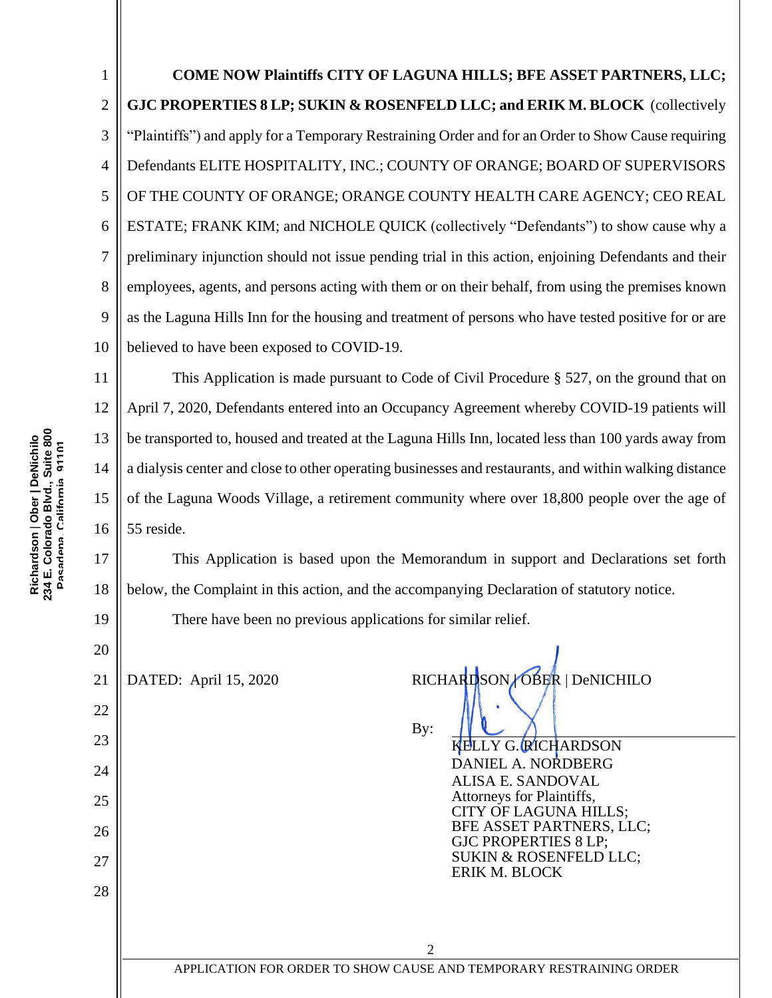1 2 3 4 5 6 7 8 9 10 **COME NOW Plaintiffs CITY OF LAGUNA HILLS; BFE ASSET PARTNERS, LLC; GJC PROPERTIES 8 LP; SUKIN & ROSENFELD LLC; and ERIK M. BLOCK** (collectively "Plaintiffs") and apply for a Temporary Restraining Order and for an Order to Show Cause requiring Defendants ELITE HOSPITALITY, INC.; COUNTY OF ORANGE; BOARD OF SUPERVISORS OF THE COUNTY OF ORANGE; ORANGE COUNTY HEALTH CARE AGENCY; CEO REAL ESTATE; FRANK KIM; and NICHOLE QUICK (collectively "Defendants") to show cause why a preliminary injunction should not issue pending trial in this action, enjoining Defendants and their employees, agents, and persons acting with them or on their behalf, from using the premises known as the Laguna Hills Inn for the housing and treatment of persons who have tested positive for or are believed to have been exposed to COVID-19.

11 12 13 14 15 16 This Application is made pursuant to Code of Civil Procedure § 527, on the ground that on April 7, 2020, Defendants entered into an Occupancy Agreement whereby COVID-19 patients will be transported to, housed and treated at the Laguna Hills Inn, located less than 100 yards away from a dialysis center and close to other operating businesses and restaurants, and within walking distance of the Laguna Woods Village, a retirement community where over 18,800 people over the age of 55 reside.

This Application is based upon the Memorandum in support and Declarations set forth below, the Complaint in this action, and the accompanying Declaration of statutory notice.

There have been no previous applications for similar relief.

21

DATED: April 15, 2020 RICHARDSON OBER | DeNICHILO

By:

LY G. RICHARDSON DANIEL A. NORDBERG ALISA E. SANDOVAL Attorneys for Plaintiffs, CITY OF LAGUNA HILLS; BFE ASSET PARTNERS, LLC; GJC PROPERTIES 8 LP; SUKIN & ROSENFELD LLC; ERIK M. BLOCK

17

18

19

20

22

23

24

25

26

27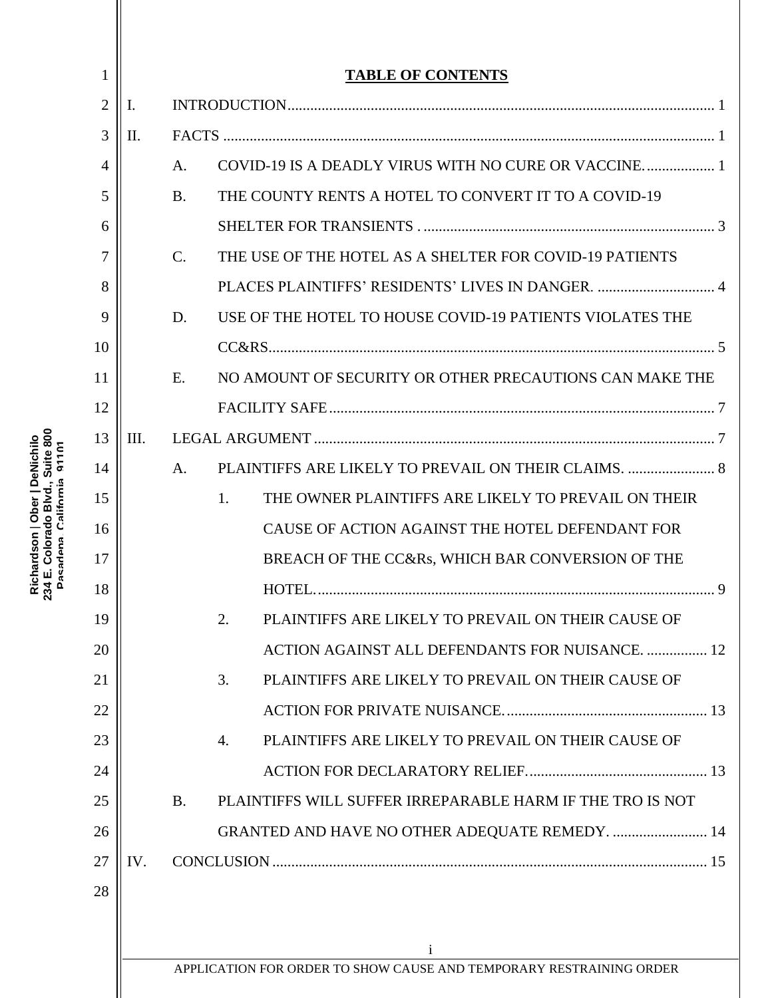| 1              |      |           | <b>TABLE OF CONTENTS</b>                                            |
|----------------|------|-----------|---------------------------------------------------------------------|
| $\overline{2}$ | Ι.   |           |                                                                     |
| 3              | II.  |           |                                                                     |
| 4              |      | A.        | COVID-19 IS A DEADLY VIRUS WITH NO CURE OR VACCINE                  |
| 5              |      | <b>B.</b> | THE COUNTY RENTS A HOTEL TO CONVERT IT TO A COVID-19                |
| 6              |      |           |                                                                     |
| 7              |      | $C$ .     | THE USE OF THE HOTEL AS A SHELTER FOR COVID-19 PATIENTS             |
| 8              |      |           |                                                                     |
| 9              |      | D.        | USE OF THE HOTEL TO HOUSE COVID-19 PATIENTS VIOLATES THE            |
| 10             |      |           |                                                                     |
| 11             |      | E.        | NO AMOUNT OF SECURITY OR OTHER PRECAUTIONS CAN MAKE THE             |
| 12             |      |           |                                                                     |
| 13             | III. |           |                                                                     |
| 14             |      | A.        |                                                                     |
| 15             |      |           | THE OWNER PLAINTIFFS ARE LIKELY TO PREVAIL ON THEIR<br>1.           |
| 16             |      |           | CAUSE OF ACTION AGAINST THE HOTEL DEFENDANT FOR                     |
| 17             |      |           | BREACH OF THE CC&Rs, WHICH BAR CONVERSION OF THE                    |
| 18             |      |           |                                                                     |
| 19             |      |           | PLAINTIFFS ARE LIKELY TO PREVAIL ON THEIR CAUSE OF<br>2.            |
| 20             |      |           | ACTION AGAINST ALL DEFENDANTS FOR NUISANCE.  12                     |
| 21             |      |           | PLAINTIFFS ARE LIKELY TO PREVAIL ON THEIR CAUSE OF<br>3.            |
| 22             |      |           |                                                                     |
| 23             |      |           | PLAINTIFFS ARE LIKELY TO PREVAIL ON THEIR CAUSE OF<br>4.            |
| 24             |      |           |                                                                     |
| 25             |      | <b>B.</b> | PLAINTIFFS WILL SUFFER IRREPARABLE HARM IF THE TRO IS NOT           |
| 26             |      |           | GRANTED AND HAVE NO OTHER ADEQUATE REMEDY.  14                      |
| 27             | IV.  |           |                                                                     |
| 28             |      |           |                                                                     |
|                |      |           |                                                                     |
|                |      |           | <sup>i</sup>                                                        |
|                |      |           | APPLICATION FOR ORDER TO SHOW CAUSE AND TEMPORARY RESTRAINING ORDER |

Richardson | Ober | DeNichilo<br>234 E. Colorado Blvd., Suite 800<br>Pasadena. California 91101 **234 E. Colorado Blvd., Suite 800 Richardson** | **Ober | DeNichilo Pasadena, California 91101**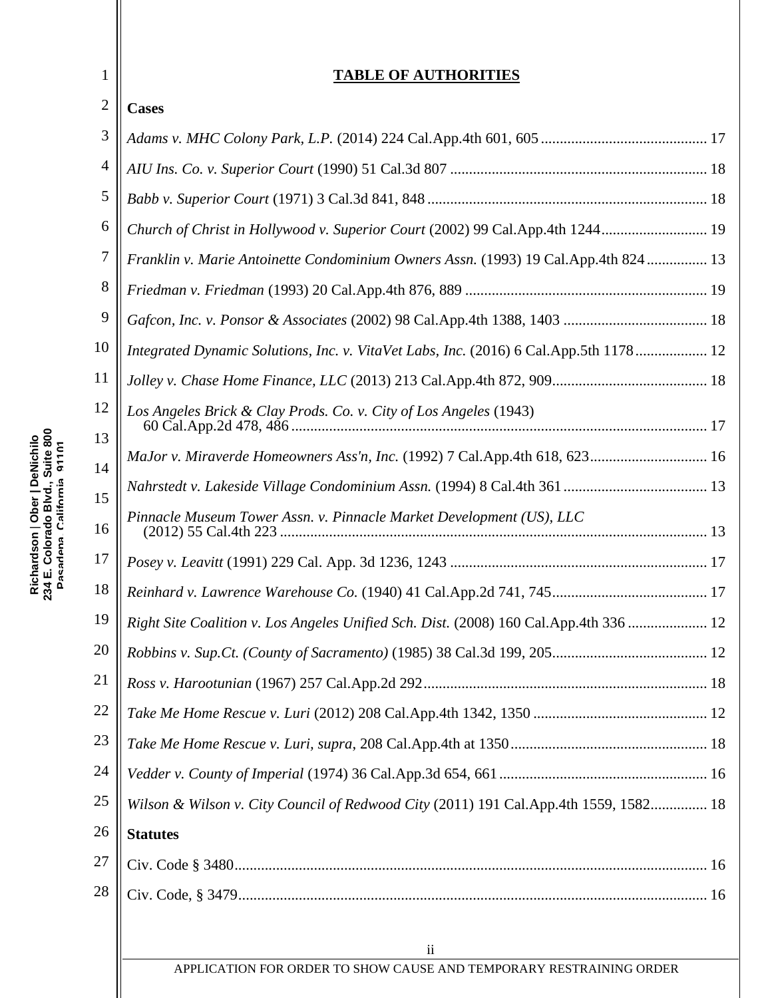### **TABLE OF AUTHORITIES**

| $\overline{2}$ | <b>Cases</b>                                                                          |  |
|----------------|---------------------------------------------------------------------------------------|--|
| 3              |                                                                                       |  |
| $\overline{4}$ |                                                                                       |  |
| 5              |                                                                                       |  |
| 6              | Church of Christ in Hollywood v. Superior Court (2002) 99 Cal.App.4th 1244 19         |  |
| 7              | Franklin v. Marie Antoinette Condominium Owners Assn. (1993) 19 Cal.App.4th 824  13   |  |
| 8              |                                                                                       |  |
| 9              |                                                                                       |  |
| 10             | Integrated Dynamic Solutions, Inc. v. VitaVet Labs, Inc. (2016) 6 Cal.App.5th 1178 12 |  |
| 11             |                                                                                       |  |
| 12             | Los Angeles Brick & Clay Prods. Co. v. City of Los Angeles (1943)                     |  |
| 13             |                                                                                       |  |
| 14             | MaJor v. Miraverde Homeowners Ass'n, Inc. (1992) 7 Cal.App.4th 618, 623 16            |  |
| 15             |                                                                                       |  |
| 16             | Pinnacle Museum Tower Assn. v. Pinnacle Market Development (US), LLC                  |  |
| 17             |                                                                                       |  |
| 18             |                                                                                       |  |
| 19             | Right Site Coalition v. Los Angeles Unified Sch. Dist. (2008) 160 Cal.App.4th 336  12 |  |
| 20             |                                                                                       |  |
| 21             |                                                                                       |  |
| 22             |                                                                                       |  |
| 23             |                                                                                       |  |
| 24             |                                                                                       |  |
| 25             | Wilson & Wilson v. City Council of Redwood City (2011) 191 Cal.App.4th 1559, 1582 18  |  |
| 26             | <b>Statutes</b>                                                                       |  |
| 27             |                                                                                       |  |
| $28\,$         |                                                                                       |  |
|                |                                                                                       |  |

1

ii APPLICATION FOR ORDER TO SHOW CAUSE AND TEMPORARY RESTRAINING ORDER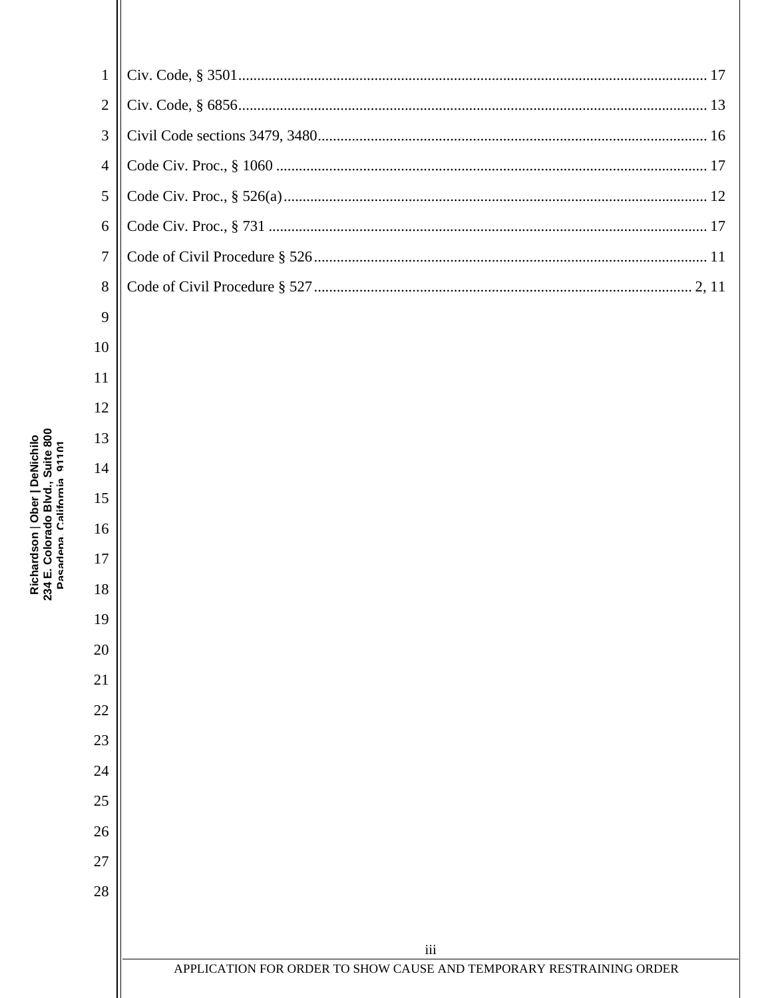| 234 E. Colorado Blvd., Suite 800<br>Richardson   Ober   DeNichilo<br>Pasadena California o110 |  |
|-----------------------------------------------------------------------------------------------|--|
|                                                                                               |  |

 $10\,$ 

| 8 |  |
|---|--|
| 9 |  |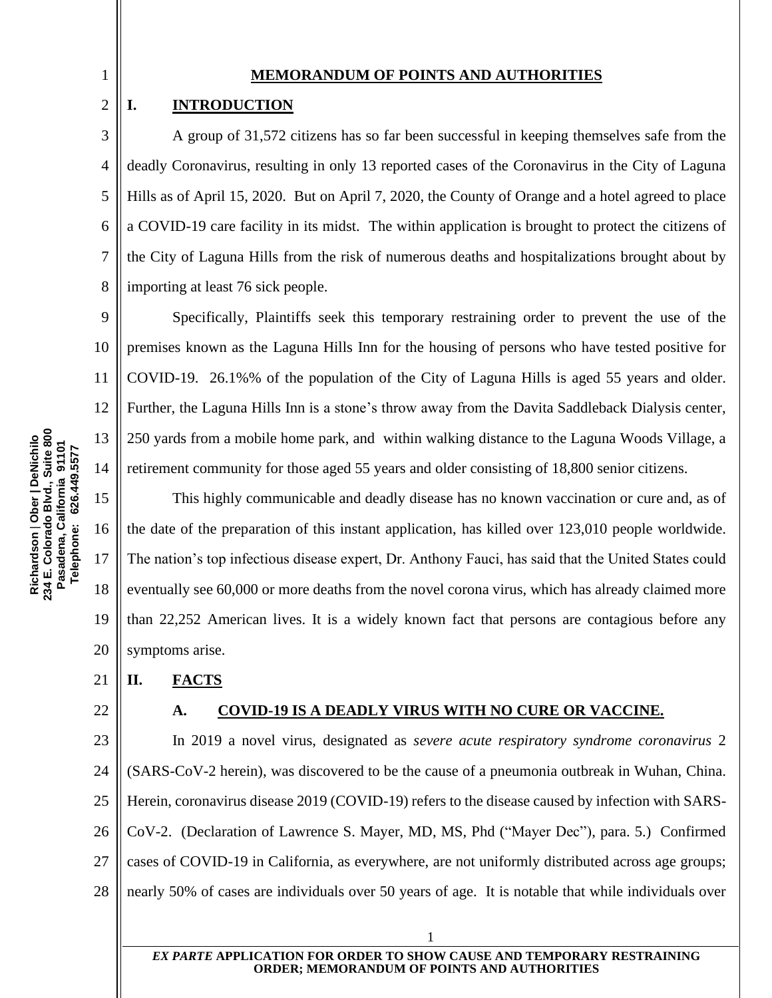#### **MEMORANDUM OF POINTS AND AUTHORITIES**

#### <span id="page-5-0"></span>**I. INTRODUCTION**

4 6 8 A group of 31,572 citizens has so far been successful in keeping themselves safe from the deadly Coronavirus, resulting in only 13 reported cases of the Coronavirus in the City of Laguna Hills as of April 15, 2020. But on April 7, 2020, the County of Orange and a hotel agreed to place a COVID-19 care facility in its midst. The within application is brought to protect the citizens of the City of Laguna Hills from the risk of numerous deaths and hospitalizations brought about by importing at least 76 sick people.

9 10 11 12 14 Specifically, Plaintiffs seek this temporary restraining order to prevent the use of the premises known as the Laguna Hills Inn for the housing of persons who have tested positive for COVID-19. 26.1%% of the population of the City of Laguna Hills is aged 55 years and older. Further, the Laguna Hills Inn is a stone's throw away from the Davita Saddleback Dialysis center, 250 yards from a mobile home park, and within walking distance to the Laguna Woods Village, a retirement community for those aged 55 years and older consisting of 18,800 senior citizens.

15 16 17 18 19 20 This highly communicable and deadly disease has no known vaccination or cure and, as of the date of the preparation of this instant application, has killed over 123,010 people worldwide. The nation's top infectious disease expert, Dr. Anthony Fauci, has said that the United States could eventually see 60,000 or more deaths from the novel corona virus, which has already claimed more than 22,252 American lives. It is a widely known fact that persons are contagious before any symptoms arise.

#### <span id="page-5-1"></span>21 **II. FACTS**

<span id="page-5-2"></span>22

#### **A. COVID-19 IS A DEADLY VIRUS WITH NO CURE OR VACCINE.**

23 24 25 26 27 28 In 2019 a novel virus, designated as *severe acute respiratory syndrome coronavirus* 2 (SARS-CoV-2 herein), was discovered to be the cause of a pneumonia outbreak in Wuhan, China. Herein, coronavirus disease 2019 (COVID-19) refers to the disease caused by infection with SARS-CoV-2. (Declaration of Lawrence S. Mayer, MD, MS, Phd ("Mayer Dec"), para. 5.) Confirmed cases of COVID-19 in California, as everywhere, are not uniformly distributed across age groups; nearly 50% of cases are individuals over 50 years of age. It is notable that while individuals over

1

Richardson | Ober | DeNichilo<br>234 E. Colorado Blvd., Suite 800<br>Pasadena, California 91101 **234 E. Colorado Blvd., Suite 800** 13 **Richardson** | **Ober | DeNichilo Pasadena, California 91101 Telephone: 626.449.5577** Telephone: 626.449.5577

2

3

5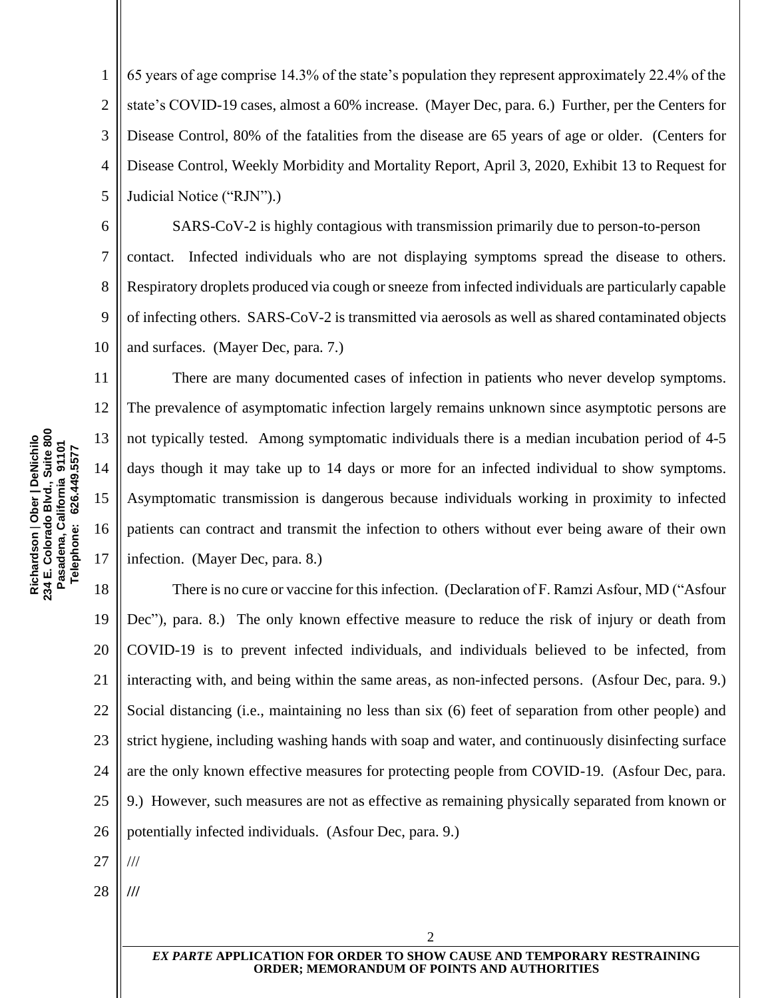1 2 3 4 5 65 years of age comprise 14.3% of the state's population they represent approximately 22.4% of the state's COVID-19 cases, almost a 60% increase. (Mayer Dec, para. 6.) Further, per the Centers for Disease Control, 80% of the fatalities from the disease are 65 years of age or older. (Centers for Disease Control, Weekly Morbidity and Mortality Report, April 3, 2020, Exhibit 13 to Request for Judicial Notice ("RJN").)

6 8 9 10 SARS-CoV-2 is highly contagious with transmission primarily due to person-to-person contact. Infected individuals who are not displaying symptoms spread the disease to others. Respiratory droplets produced via cough or sneeze from infected individuals are particularly capable of infecting others. SARS-CoV-2 is transmitted via aerosols as well as shared contaminated objects and surfaces. (Mayer Dec, para. 7.)

11 12 13 14 15 16 17 There are many documented cases of infection in patients who never develop symptoms. The prevalence of asymptomatic infection largely remains unknown since asymptotic persons are not typically tested. Among symptomatic individuals there is a median incubation period of 4-5 days though it may take up to 14 days or more for an infected individual to show symptoms. Asymptomatic transmission is dangerous because individuals working in proximity to infected patients can contract and transmit the infection to others without ever being aware of their own infection. (Mayer Dec, para. 8.)

18 19 20 21 22 23 24 25 26 There is no cure or vaccine for this infection. (Declaration of F. Ramzi Asfour, MD ("Asfour Dec"), para. 8.) The only known effective measure to reduce the risk of injury or death from COVID-19 is to prevent infected individuals, and individuals believed to be infected, from interacting with, and being within the same areas, as non-infected persons. (Asfour Dec, para. 9.) Social distancing (i.e., maintaining no less than six (6) feet of separation from other people) and strict hygiene, including washing hands with soap and water, and continuously disinfecting surface are the only known effective measures for protecting people from COVID-19. (Asfour Dec, para. 9.) However, such measures are not as effective as remaining physically separated from known or potentially infected individuals. (Asfour Dec, para. 9.)

27 ///

28 **///**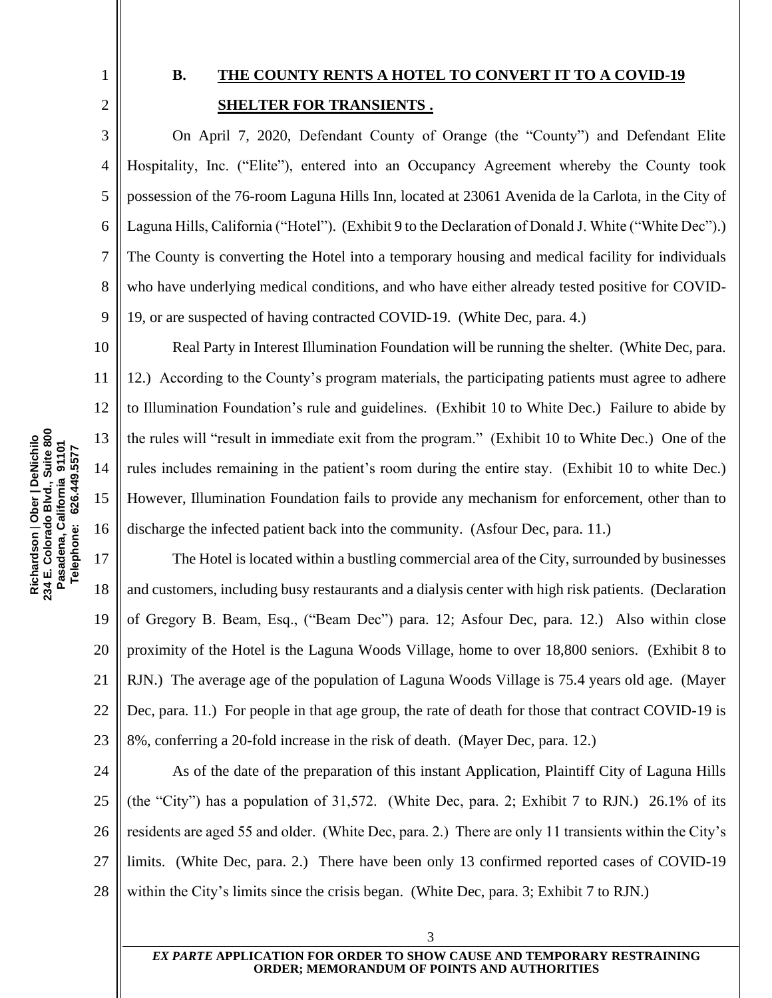3

4

5

6

7

8

9

10

11

12

13

14

15

16

# <span id="page-7-0"></span>**B. THE COUNTY RENTS A HOTEL TO CONVERT IT TO A COVID-19 SHELTER FOR TRANSIENTS .**

On April 7, 2020, Defendant County of Orange (the "County") and Defendant Elite Hospitality, Inc. ("Elite"), entered into an Occupancy Agreement whereby the County took possession of the 76-room Laguna Hills Inn, located at 23061 Avenida de la Carlota, in the City of Laguna Hills, California ("Hotel"). (Exhibit 9 to the Declaration of Donald J. White ("White Dec").) The County is converting the Hotel into a temporary housing and medical facility for individuals who have underlying medical conditions, and who have either already tested positive for COVID-19, or are suspected of having contracted COVID-19. (White Dec, para. 4.)

Real Party in Interest Illumination Foundation will be running the shelter. (White Dec, para. 12.) According to the County's program materials, the participating patients must agree to adhere to Illumination Foundation's rule and guidelines. (Exhibit 10 to White Dec.) Failure to abide by the rules will "result in immediate exit from the program." (Exhibit 10 to White Dec.) One of the rules includes remaining in the patient's room during the entire stay. (Exhibit 10 to white Dec.) However, Illumination Foundation fails to provide any mechanism for enforcement, other than to discharge the infected patient back into the community. (Asfour Dec, para. 11.)

17 18 19 20 21 22 23 The Hotel is located within a bustling commercial area of the City, surrounded by businesses and customers, including busy restaurants and a dialysis center with high risk patients. (Declaration of Gregory B. Beam, Esq., ("Beam Dec") para. 12; Asfour Dec, para. 12.) Also within close proximity of the Hotel is the Laguna Woods Village, home to over 18,800 seniors. (Exhibit 8 to RJN.) The average age of the population of Laguna Woods Village is 75.4 years old age. (Mayer Dec, para. 11.) For people in that age group, the rate of death for those that contract COVID-19 is 8%, conferring a 20-fold increase in the risk of death. (Mayer Dec, para. 12.)

24 25 26 27 28 As of the date of the preparation of this instant Application, Plaintiff City of Laguna Hills (the "City") has a population of 31,572. (White Dec, para. 2; Exhibit 7 to RJN.) 26.1% of its residents are aged 55 and older. (White Dec, para. 2.) There are only 11 transients within the City's limits. (White Dec, para. 2.) There have been only 13 confirmed reported cases of COVID-19 within the City's limits since the crisis began. (White Dec, para. 3; Exhibit 7 to RJN.)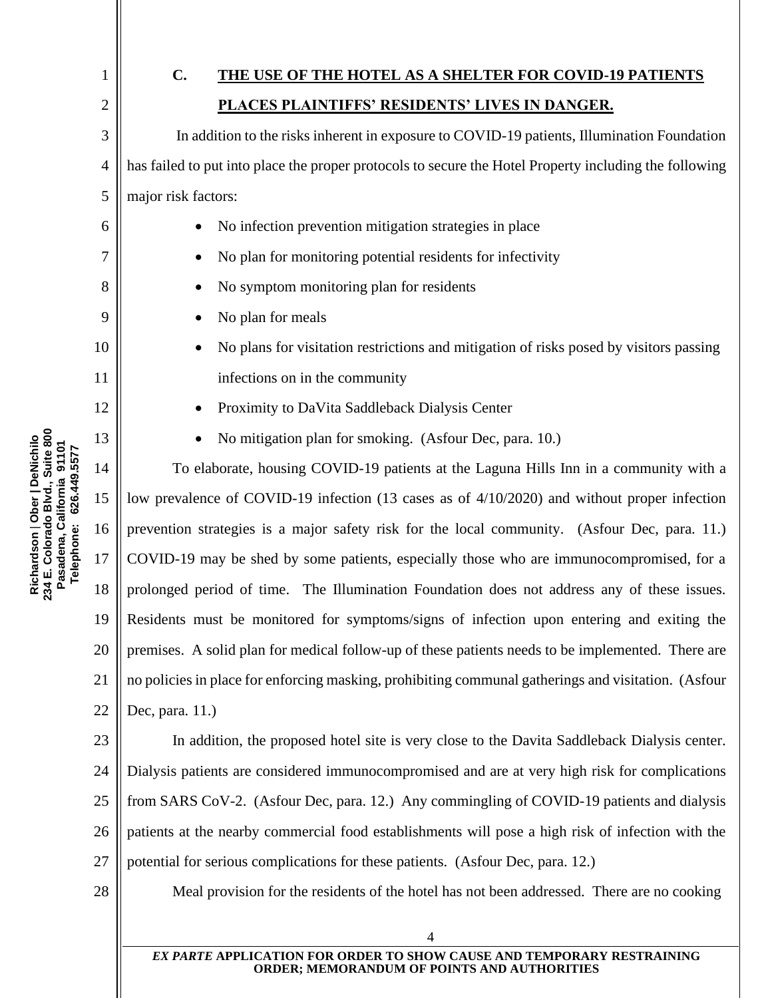<span id="page-8-0"></span>

| 1              | $\mathbf{C}$ .<br>THE USE OF THE HOTEL AS A SHELTER FOR COVID-19 PATIENTS                              |  |
|----------------|--------------------------------------------------------------------------------------------------------|--|
| 2              | PLACES PLAINTIFFS' RESIDENTS' LIVES IN DANGER.                                                         |  |
| 3              | In addition to the risks inherent in exposure to COVID-19 patients, Illumination Foundation            |  |
| $\overline{4}$ | has failed to put into place the proper protocols to secure the Hotel Property including the following |  |
| 5              | major risk factors:                                                                                    |  |
| 6              | No infection prevention mitigation strategies in place                                                 |  |
| 7              | No plan for monitoring potential residents for infectivity                                             |  |
| 8              | No symptom monitoring plan for residents                                                               |  |
| 9              | No plan for meals                                                                                      |  |
| 10             | No plans for visitation restrictions and mitigation of risks posed by visitors passing                 |  |
| 11             | infections on in the community                                                                         |  |
| 12             | Proximity to DaVita Saddleback Dialysis Center                                                         |  |
| 13             | No mitigation plan for smoking. (Asfour Dec, para. 10.)                                                |  |
| 14             | To elaborate, housing COVID-19 patients at the Laguna Hills Inn in a community with a                  |  |
| 15             | low prevalence of COVID-19 infection (13 cases as of 4/10/2020) and without proper infection           |  |
| 16             | prevention strategies is a major safety risk for the local community. (Asfour Dec, para. 11.)          |  |
| 17             | COVID-19 may be shed by some patients, especially those who are immunocompromised, for a               |  |
| 18             | prolonged period of time. The Illumination Foundation does not address any of these issues.            |  |
|                | 19 Residents must be monitored for symptoms/signs of infection upon entering and exiting the           |  |
| 20             | premises. A solid plan for medical follow-up of these patients needs to be implemented. There are      |  |
| 21             | no policies in place for enforcing masking, prohibiting communal gatherings and visitation. (Asfour    |  |
| 22             | Dec, para. 11.)                                                                                        |  |
| 23             | In addition, the proposed hotel site is very close to the Davita Saddleback Dialysis center.           |  |
| 24             | Dialysis patients are considered immunocompromised and are at very high risk for complications         |  |
| 25             | from SARS CoV-2. (Asfour Dec, para. 12.) Any commingling of COVID-19 patients and dialysis             |  |
| 26             | patients at the nearby commercial food establishments will pose a high risk of infection with the      |  |
| 27             | potential for serious complications for these patients. (As four Dec, para. 12.)                       |  |

Meal provision for the residents of the hotel has not been addressed. There are no cooking

*EX PARTE* **APPLICATION FOR ORDER TO SHOW CAUSE AND TEMPORARY RESTRAINING ORDER; MEMORANDUM OF POINTS AND AUTHORITIES**

4

Richardson | Ober | DeNichilo<br>234 E. Colorado Blvd., Suite 800<br>Pasadena, California 91101<br>Telephone: 626.449.5577 **234 E. Colorado Blvd., Suite 800 Richardson** | **Ober | DeNichilo Pasadena, California 91101 Telephone: 626.449.5577**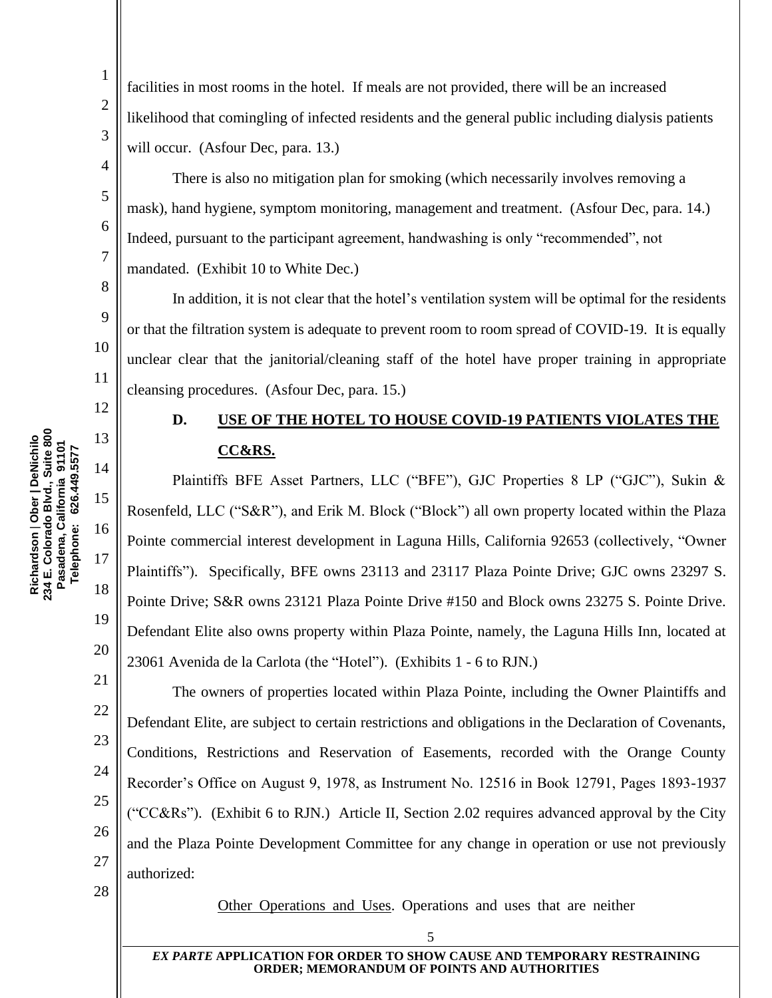234 E. Colorado Blvd., Suite 800<br>Pasadena, California 91101 **234 E. Colorado Blvd., Suite 800** 13 **Richardson** | **Ober | DeNichilo**  Richardson | Ober | DeNichilo **Pasadena, California 91101 Telephone: 626.449.5577** Telephone: 626.449.5577 14 15 16 17

1

2

3

4

5

6

7

8

9

10

11

<span id="page-9-0"></span>12

18

19

20

21

22

23

24

25

26

27

facilities in most rooms in the hotel. If meals are not provided, there will be an increased likelihood that comingling of infected residents and the general public including dialysis patients will occur. (Asfour Dec, para. 13.)

There is also no mitigation plan for smoking (which necessarily involves removing a mask), hand hygiene, symptom monitoring, management and treatment. (Asfour Dec, para. 14.) Indeed, pursuant to the participant agreement, handwashing is only "recommended", not mandated. (Exhibit 10 to White Dec.)

In addition, it is not clear that the hotel's ventilation system will be optimal for the residents or that the filtration system is adequate to prevent room to room spread of COVID-19. It is equally unclear clear that the janitorial/cleaning staff of the hotel have proper training in appropriate cleansing procedures. (Asfour Dec, para. 15.)

# **D. USE OF THE HOTEL TO HOUSE COVID-19 PATIENTS VIOLATES THE CC&RS.**

Plaintiffs BFE Asset Partners, LLC ("BFE"), GJC Properties 8 LP ("GJC"), Sukin & Rosenfeld, LLC ("S&R"), and Erik M. Block ("Block") all own property located within the Plaza Pointe commercial interest development in Laguna Hills, California 92653 (collectively, "Owner Plaintiffs"). Specifically, BFE owns 23113 and 23117 Plaza Pointe Drive; GJC owns 23297 S. Pointe Drive; S&R owns 23121 Plaza Pointe Drive #150 and Block owns 23275 S. Pointe Drive. Defendant Elite also owns property within Plaza Pointe, namely, the Laguna Hills Inn, located at 23061 Avenida de la Carlota (the "Hotel"). (Exhibits 1 - 6 to RJN.)

The owners of properties located within Plaza Pointe, including the Owner Plaintiffs and Defendant Elite, are subject to certain restrictions and obligations in the Declaration of Covenants, Conditions, Restrictions and Reservation of Easements, recorded with the Orange County Recorder's Office on August 9, 1978, as Instrument No. 12516 in Book 12791, Pages 1893-1937 ("CC&Rs"). (Exhibit 6 to RJN.) Article II, Section 2.02 requires advanced approval by the City and the Plaza Pointe Development Committee for any change in operation or use not previously authorized:

28

Other Operations and Uses. Operations and uses that are neither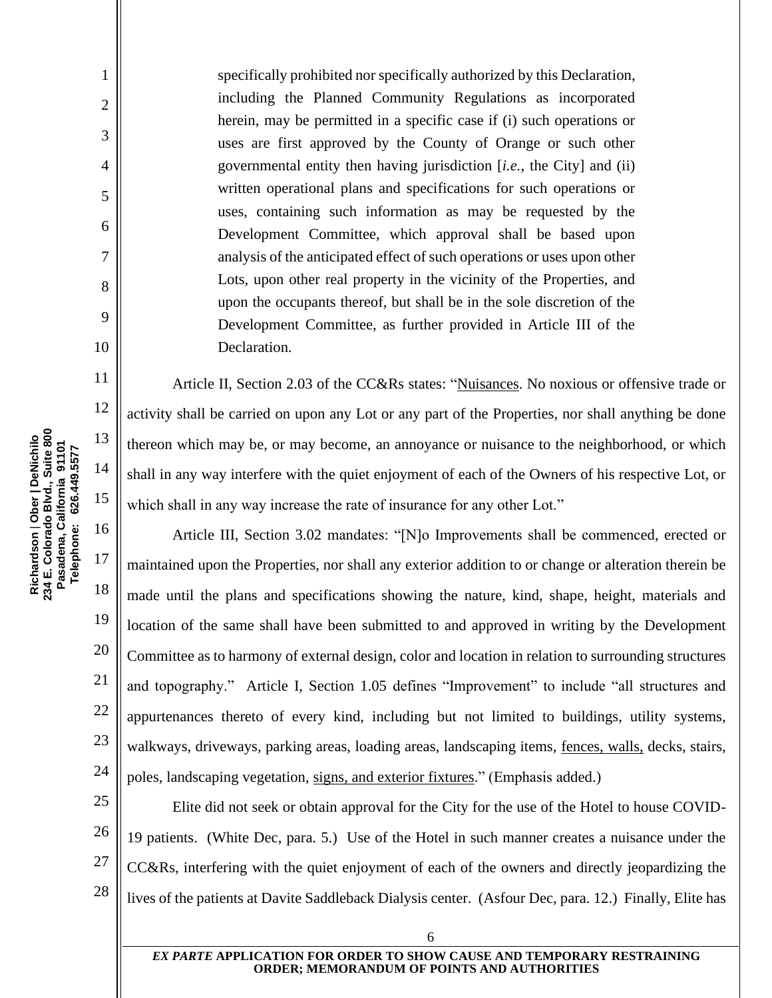specifically prohibited nor specifically authorized by this Declaration, including the Planned Community Regulations as incorporated herein, may be permitted in a specific case if (i) such operations or uses are first approved by the County of Orange or such other governmental entity then having jurisdiction [*i.e.*, the City] and (ii) written operational plans and specifications for such operations or uses, containing such information as may be requested by the Development Committee, which approval shall be based upon analysis of the anticipated effect of such operations or uses upon other Lots, upon other real property in the vicinity of the Properties, and upon the occupants thereof, but shall be in the sole discretion of the Development Committee, as further provided in Article III of the Declaration.

Article II, Section 2.03 of the CC&Rs states: "Nuisances. No noxious or offensive trade or activity shall be carried on upon any Lot or any part of the Properties, nor shall anything be done thereon which may be, or may become, an annoyance or nuisance to the neighborhood, or which shall in any way interfere with the quiet enjoyment of each of the Owners of his respective Lot, or which shall in any way increase the rate of insurance for any other Lot."

Article III, Section 3.02 mandates: "[N]o Improvements shall be commenced, erected or maintained upon the Properties, nor shall any exterior addition to or change or alteration therein be made until the plans and specifications showing the nature, kind, shape, height, materials and location of the same shall have been submitted to and approved in writing by the Development Committee as to harmony of external design, color and location in relation to surrounding structures and topography." Article I, Section 1.05 defines "Improvement" to include "all structures and appurtenances thereto of every kind, including but not limited to buildings, utility systems, walkways, driveways, parking areas, loading areas, landscaping items, fences, walls, decks, stairs, poles, landscaping vegetation, signs, and exterior fixtures." (Emphasis added.)

25 26 27 28 Elite did not seek or obtain approval for the City for the use of the Hotel to house COVID-19 patients. (White Dec, para. 5.) Use of the Hotel in such manner creates a nuisance under the CC&Rs, interfering with the quiet enjoyment of each of the owners and directly jeopardizing the lives of the patients at Davite Saddleback Dialysis center. (Asfour Dec, para. 12.) Finally, Elite has

6

Richardson | Ober | DeNichilo<br>234 E. Colorado Blvd., Suite 800<br>Pasadena, California 91101 **234 E. Colorado Blvd., Suite 800** 13 **Richardson** | **Ober | DeNichilo Pasadena, California 91101** Telephone: 626.449.5577 **Telephone: 626.449.5577** 14 15 16 17 18

1

2

3

4

5

6

7

8

9

10

11

12

19

20

21

22

23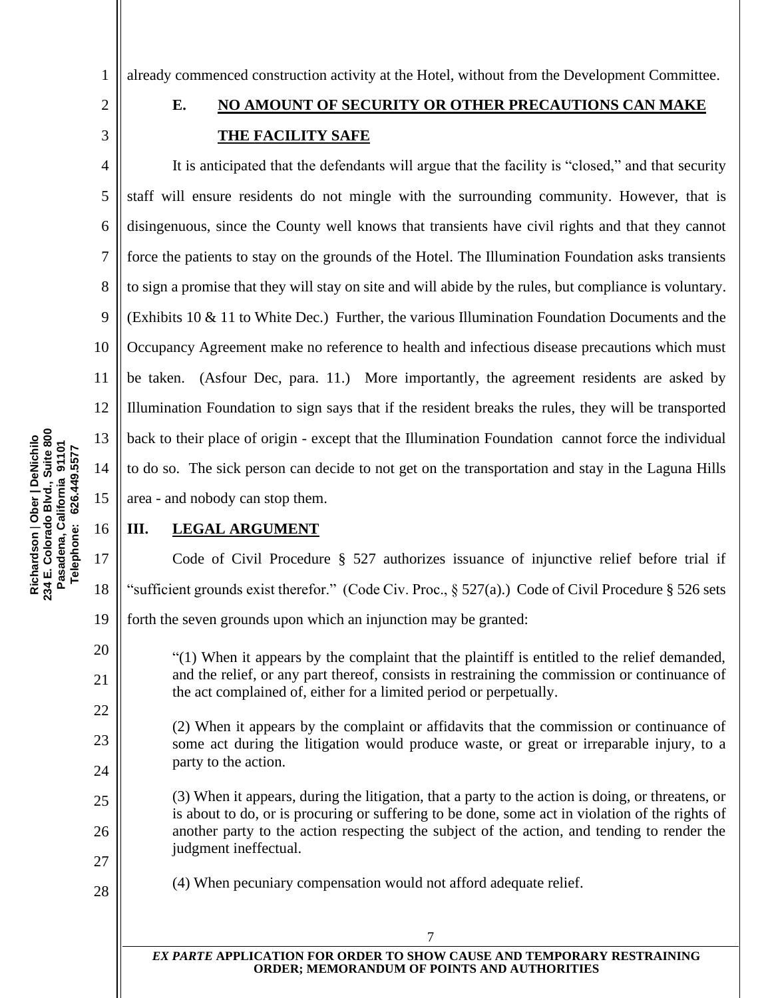1 already commenced construction activity at the Hotel, without from the Development Committee.

### <span id="page-11-0"></span>2 3

4

5

# **E. NO AMOUNT OF SECURITY OR OTHER PRECAUTIONS CAN MAKE THE FACILITY SAFE**

6 7 8 9 10 11 12 13 14 It is anticipated that the defendants will argue that the facility is "closed," and that security staff will ensure residents do not mingle with the surrounding community. However, that is disingenuous, since the County well knows that transients have civil rights and that they cannot force the patients to stay on the grounds of the Hotel. The Illumination Foundation asks transients to sign a promise that they will stay on site and will abide by the rules, but compliance is voluntary. (Exhibits 10 & 11 to White Dec.) Further, the various Illumination Foundation Documents and the Occupancy Agreement make no reference to health and infectious disease precautions which must be taken. (Asfour Dec, para. 11.) More importantly, the agreement residents are asked by Illumination Foundation to sign says that if the resident breaks the rules, they will be transported back to their place of origin - except that the Illumination Foundation cannot force the individual to do so. The sick person can decide to not get on the transportation and stay in the Laguna Hills area - and nobody can stop them.

### <span id="page-11-1"></span>**III. LEGAL ARGUMENT**

Code of Civil Procedure § 527 authorizes issuance of injunctive relief before trial if "sufficient grounds exist therefor." (Code Civ. Proc.,  $\S 527(a)$ .) Code of Civil Procedure  $\S 526$  sets forth the seven grounds upon which an injunction may be granted:

 $(1)$  When it appears by the complaint that the plaintiff is entitled to the relief demanded, and the relief, or any part thereof, consists in restraining the commission or continuance of the act complained of, either for a limited period or perpetually.

(2) When it appears by the complaint or affidavits that the commission or continuance of some act during the litigation would produce waste, or great or irreparable injury, to a party to the action.

(3) When it appears, during the litigation, that a party to the action is doing, or threatens, or is about to do, or is procuring or suffering to be done, some act in violation of the rights of another party to the action respecting the subject of the action, and tending to render the judgment ineffectual.

(4) When pecuniary compensation would not afford adequate relief.

15

16

17

18

19

20

21

22

23

24

25

26

27

28

*EX PARTE* **APPLICATION FOR ORDER TO SHOW CAUSE AND TEMPORARY RESTRAINING ORDER; MEMORANDUM OF POINTS AND AUTHORITIES**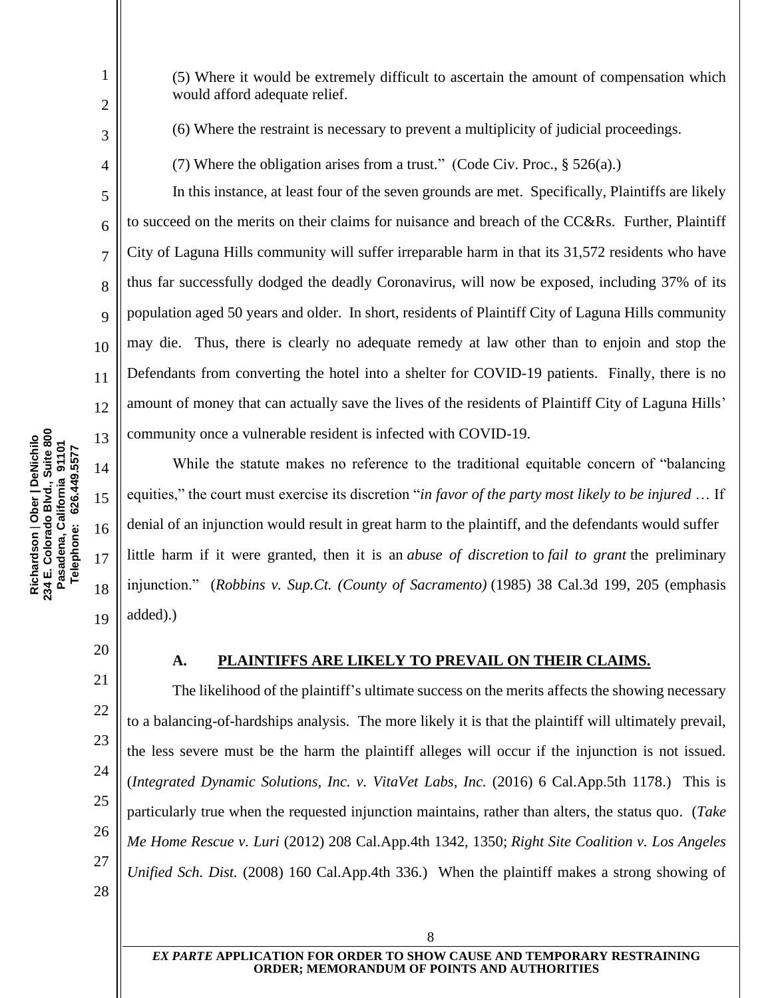(5) Where it would be extremely difficult to ascertain the amount of compensation which would afford adequate relief.

(6) Where the restraint is necessary to prevent a multiplicity of judicial proceedings.

(7) Where the obligation arises from a trust." (Code Civ. Proc.,  $\S 526(a)$ .)

In this instance, at least four of the seven grounds are met. Specifically, Plaintiffs are likely to succeed on the merits on their claims for nuisance and breach of the CC&Rs. Further, Plaintiff City of Laguna Hills community will suffer irreparable harm in that its 31,572 residents who have thus far successfully dodged the deadly Coronavirus, will now be exposed, including 37% of its population aged 50 years and older. In short, residents of Plaintiff City of Laguna Hills community may die. Thus, there is clearly no adequate remedy at law other than to enjoin and stop the Defendants from converting the hotel into a shelter for COVID-19 patients. Finally, there is no amount of money that can actually save the lives of the residents of Plaintiff City of Laguna Hills' community once a vulnerable resident is infected with COVID-19.

While the statute makes no reference to the traditional equitable concern of "balancing equities," the court must exercise its discretion "*in favor of the party most likely to be injured* … If denial of an injunction would result in great harm to the plaintiff, and the defendants would suffer little harm if it were granted, then it is an *abuse of discretion* to *fail to grant* the preliminary injunction." (*Robbins v. Sup.Ct. (County of Sacramento)* (1985) 38 Cal.3d 199, 205 (emphasis added).)

<span id="page-12-0"></span>20

1

2

3

4

5

6

7

8

9

10

11

12

13

14

15

16

17

18

19

21

22

23

24

25

26

27

28

#### **A. PLAINTIFFS ARE LIKELY TO PREVAIL ON THEIR CLAIMS.**

The likelihood of the plaintiff's ultimate success on the merits affects the showing necessary to a balancing-of-hardships analysis. The more likely it is that the plaintiff will ultimately prevail, the less severe must be the harm the plaintiff alleges will occur if the injunction is not issued. (*Integrated Dynamic Solutions, Inc. v. VitaVet Labs, Inc.* (2016) 6 Cal.App.5th 1178.) This is particularly true when the requested injunction maintains, rather than alters, the status quo. (*Take Me Home Rescue v. Luri* (2012) 208 Cal.App.4th 1342, 1350; *Right Site Coalition v. Los Angeles Unified Sch. Dist.* (2008) 160 Cal.App.4th 336.) When the plaintiff makes a strong showing of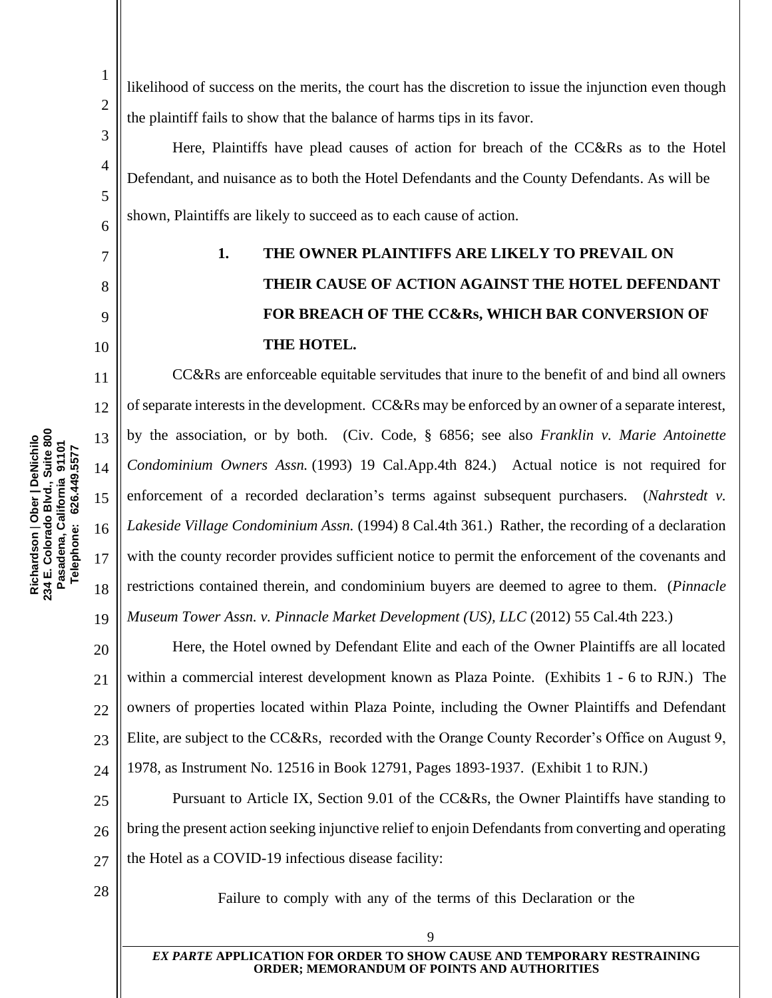likelihood of success on the merits, the court has the discretion to issue the injunction even though the plaintiff fails to show that the balance of harms tips in its favor.

Here, Plaintiffs have plead causes of action for breach of the CC&Rs as to the Hotel Defendant, and nuisance as to both the Hotel Defendants and the County Defendants. As will be shown, Plaintiffs are likely to succeed as to each cause of action.

# <span id="page-13-0"></span>7

8

9

10

11

12

13

14

15

16

18

19

1

2

3

4

5

6

# **1. THE OWNER PLAINTIFFS ARE LIKELY TO PREVAIL ON THEIR CAUSE OF ACTION AGAINST THE HOTEL DEFENDANT FOR BREACH OF THE CC&Rs, WHICH BAR CONVERSION OF THE HOTEL.**

CC&Rs are enforceable equitable servitudes that inure to the benefit of and bind all owners of separate interests in the development. CC&Rs may be enforced by an owner of a separate interest, by the association, or by both. (Civ. Code, § 6856; see also *Franklin v. Marie Antoinette Condominium Owners Assn.* (1993) 19 Cal.App.4th 824.) Actual notice is not required for enforcement of a recorded declaration's terms against subsequent purchasers. (*Nahrstedt v. Lakeside Village Condominium Assn.* (1994) 8 Cal.4th 361.) Rather, the recording of a declaration with the county recorder provides sufficient notice to permit the enforcement of the covenants and restrictions contained therein, and condominium buyers are deemed to agree to them. (*Pinnacle Museum Tower Assn. v. Pinnacle Market Development (US), LLC* (2012) 55 Cal.4th 223.)

20 21 22 23 24 Here, the Hotel owned by Defendant Elite and each of the Owner Plaintiffs are all located within a commercial interest development known as Plaza Pointe. (Exhibits 1 - 6 to RJN.) The owners of properties located within Plaza Pointe, including the Owner Plaintiffs and Defendant Elite, are subject to the CC&Rs, recorded with the Orange County Recorder's Office on August 9, 1978, as Instrument No. 12516 in Book 12791, Pages 1893-1937. (Exhibit 1 to RJN.)

25 26 27 Pursuant to Article IX, Section 9.01 of the CC&Rs, the Owner Plaintiffs have standing to bring the present action seeking injunctive relief to enjoin Defendants from converting and operating the Hotel as a COVID-19 infectious disease facility:

28

Failure to comply with any of the terms of this Declaration or the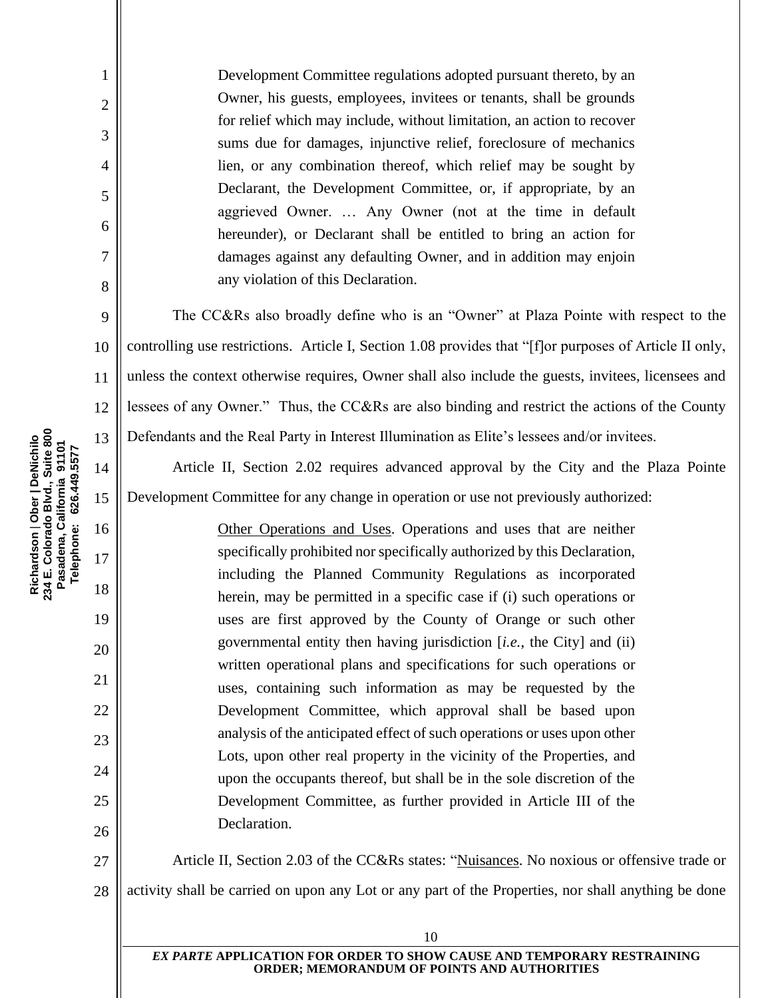Development Committee regulations adopted pursuant thereto, by an Owner, his guests, employees, invitees or tenants, shall be grounds for relief which may include, without limitation, an action to recover sums due for damages, injunctive relief, foreclosure of mechanics lien, or any combination thereof, which relief may be sought by Declarant, the Development Committee, or, if appropriate, by an aggrieved Owner. … Any Owner (not at the time in default hereunder), or Declarant shall be entitled to bring an action for damages against any defaulting Owner, and in addition may enjoin any violation of this Declaration.

The CC&Rs also broadly define who is an "Owner" at Plaza Pointe with respect to the controlling use restrictions. Article I, Section 1.08 provides that "[f]or purposes of Article II only, unless the context otherwise requires, Owner shall also include the guests, invitees, licensees and lessees of any Owner." Thus, the CC&Rs are also binding and restrict the actions of the County Defendants and the Real Party in Interest Illumination as Elite's lessees and/or invitees.

Article II, Section 2.02 requires advanced approval by the City and the Plaza Pointe Development Committee for any change in operation or use not previously authorized:

> Other Operations and Uses. Operations and uses that are neither specifically prohibited nor specifically authorized by this Declaration, including the Planned Community Regulations as incorporated herein, may be permitted in a specific case if (i) such operations or uses are first approved by the County of Orange or such other governmental entity then having jurisdiction [*i.e.*, the City] and (ii) written operational plans and specifications for such operations or uses, containing such information as may be requested by the Development Committee, which approval shall be based upon analysis of the anticipated effect of such operations or uses upon other Lots, upon other real property in the vicinity of the Properties, and upon the occupants thereof, but shall be in the sole discretion of the Development Committee, as further provided in Article III of the Declaration.

27 28 Article II, Section 2.03 of the CC&Rs states: "Nuisances. No noxious or offensive trade or activity shall be carried on upon any Lot or any part of the Properties, nor shall anything be done

Richardson | Ober | DeNichilo<br>234 E. Colorado Blvd., Suite 800<br>Pasadena, California 91101 **234 E. Colorado Blvd., Suite 800 Richardson** | **Ober | DeNichilo Pasadena, California 91101** Telephone: 626.449.5577 **Telephone: 626.449.5577** 1

2

3

4

5

6

7

8

9

10

11

12

13

14

15

16

17

18

19

20

21

22

23

24

25

26

*EX PARTE* **APPLICATION FOR ORDER TO SHOW CAUSE AND TEMPORARY RESTRAINING ORDER; MEMORANDUM OF POINTS AND AUTHORITIES**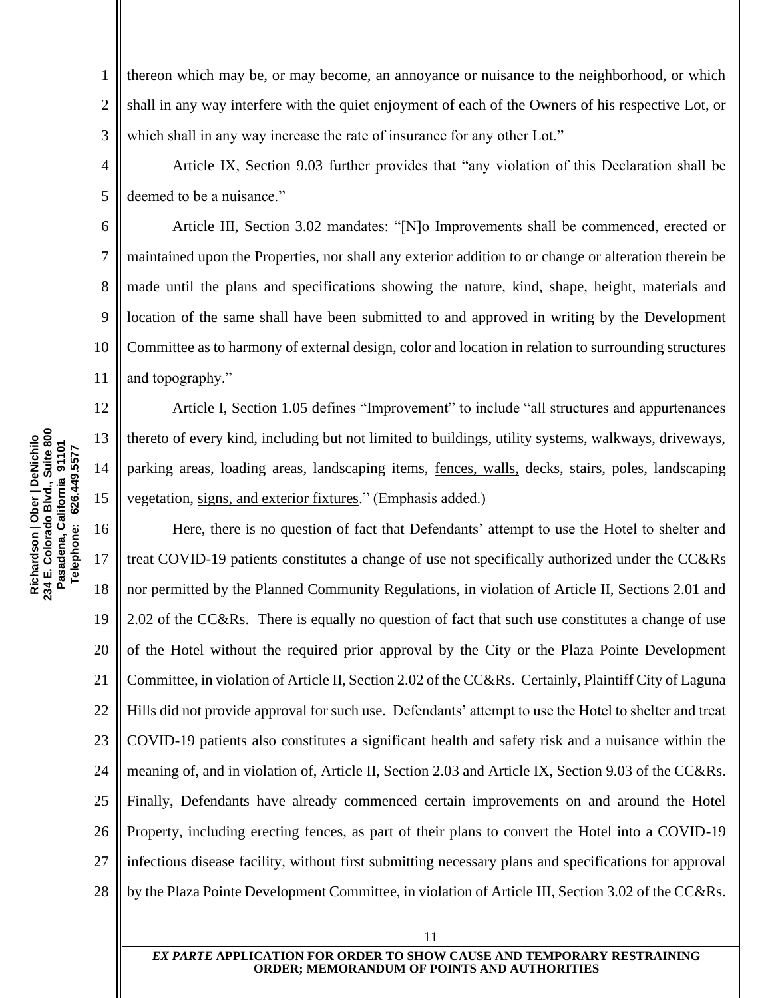7

8

9

1 2 3 thereon which may be, or may become, an annoyance or nuisance to the neighborhood, or which shall in any way interfere with the quiet enjoyment of each of the Owners of his respective Lot, or which shall in any way increase the rate of insurance for any other Lot."

4 5 Article IX, Section 9.03 further provides that "any violation of this Declaration shall be deemed to be a nuisance."

Article III, Section 3.02 mandates: "[N]o Improvements shall be commenced, erected or maintained upon the Properties, nor shall any exterior addition to or change or alteration therein be made until the plans and specifications showing the nature, kind, shape, height, materials and location of the same shall have been submitted to and approved in writing by the Development Committee as to harmony of external design, color and location in relation to surrounding structures and topography."

Article I, Section 1.05 defines "Improvement" to include "all structures and appurtenances thereto of every kind, including but not limited to buildings, utility systems, walkways, driveways, parking areas, loading areas, landscaping items, fences, walls, decks, stairs, poles, landscaping vegetation, signs, and exterior fixtures." (Emphasis added.)

16 17 18 19 20 21 22 23 24 25 26 27 28 Here, there is no question of fact that Defendants' attempt to use the Hotel to shelter and treat COVID-19 patients constitutes a change of use not specifically authorized under the CC&Rs nor permitted by the Planned Community Regulations, in violation of Article II, Sections 2.01 and 2.02 of the CC&Rs. There is equally no question of fact that such use constitutes a change of use of the Hotel without the required prior approval by the City or the Plaza Pointe Development Committee, in violation of Article II, Section 2.02 of the CC&Rs. Certainly, Plaintiff City of Laguna Hills did not provide approval for such use. Defendants' attempt to use the Hotel to shelter and treat COVID-19 patients also constitutes a significant health and safety risk and a nuisance within the meaning of, and in violation of, Article II, Section 2.03 and Article IX, Section 9.03 of the CC&Rs. Finally, Defendants have already commenced certain improvements on and around the Hotel Property, including erecting fences, as part of their plans to convert the Hotel into a COVID-19 infectious disease facility, without first submitting necessary plans and specifications for approval by the Plaza Pointe Development Committee, in violation of Article III, Section 3.02 of the CC&Rs.

Richardson | Ober | DeNichilo<br>234 E. Colorado Blvd., Suite 800<br>Pasadena, California 91101 **234 E. Colorado Blvd., Suite 800 Richardson** | **Ober | DeNichilo Pasadena, California 91101 Telephone: 626.449.5577** Telephone: 626.449.5577 15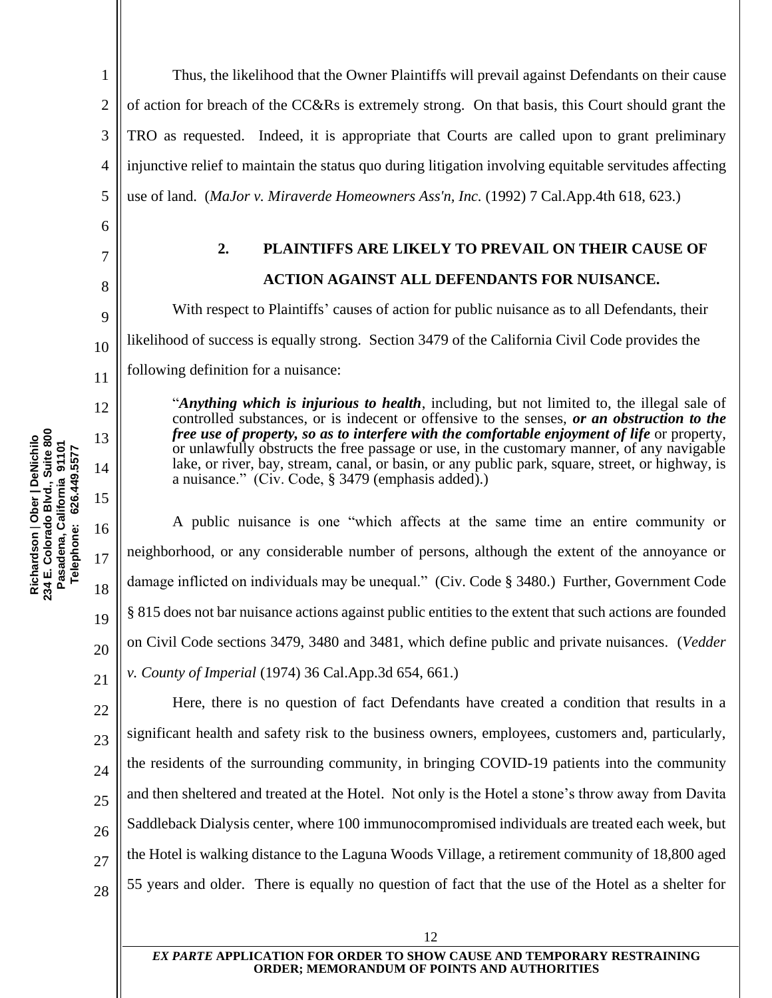<span id="page-16-0"></span>7

8

9

10

11

18

19

20

21

1 2 3 4 5 Thus, the likelihood that the Owner Plaintiffs will prevail against Defendants on their cause of action for breach of the CC&Rs is extremely strong. On that basis, this Court should grant the TRO as requested. Indeed, it is appropriate that Courts are called upon to grant preliminary injunctive relief to maintain the status quo during litigation involving equitable servitudes affecting use of land. (*MaJor v. Miraverde Homeowners Ass'n, Inc.* (1992) 7 Cal.App.4th 618, 623.)

# **2. PLAINTIFFS ARE LIKELY TO PREVAIL ON THEIR CAUSE OF ACTION AGAINST ALL DEFENDANTS FOR NUISANCE.**

With respect to Plaintiffs' causes of action for public nuisance as to all Defendants, their likelihood of success is equally strong. Section 3479 of the California Civil Code provides the following definition for a nuisance:

"*Anything which is injurious to health*, including, but not limited to, the illegal sale of controlled substances, or is indecent or offensive to the senses, *or an obstruction to the free use of property, so as to interfere with the comfortable enjoyment of life* or property, or unlawfully obstructs the free passage or use, in the customary manner, of any navigable lake, or river, bay, stream, canal, or basin, or any public park, square, street, or highway, is a nuisance." (Civ. Code, § 3479 (emphasis added).)

A public nuisance is one "which affects at the same time an entire community or neighborhood, or any considerable number of persons, although the extent of the annoyance or damage inflicted on individuals may be unequal." (Civ. Code § 3480.) Further, Government Code § 815 does not bar nuisance actions against public entities to the extent that such actions are founded on Civil Code sections 3479, 3480 and 3481, which define public and private nuisances. (*Vedder v. County of Imperial* (1974) 36 Cal.App.3d 654, 661.)

22 23 24 25 26 27 28 Here, there is no question of fact Defendants have created a condition that results in a significant health and safety risk to the business owners, employees, customers and, particularly, the residents of the surrounding community, in bringing COVID-19 patients into the community and then sheltered and treated at the Hotel. Not only is the Hotel a stone's throw away from Davita Saddleback Dialysis center, where 100 immunocompromised individuals are treated each week, but the Hotel is walking distance to the Laguna Woods Village, a retirement community of 18,800 aged 55 years and older. There is equally no question of fact that the use of the Hotel as a shelter for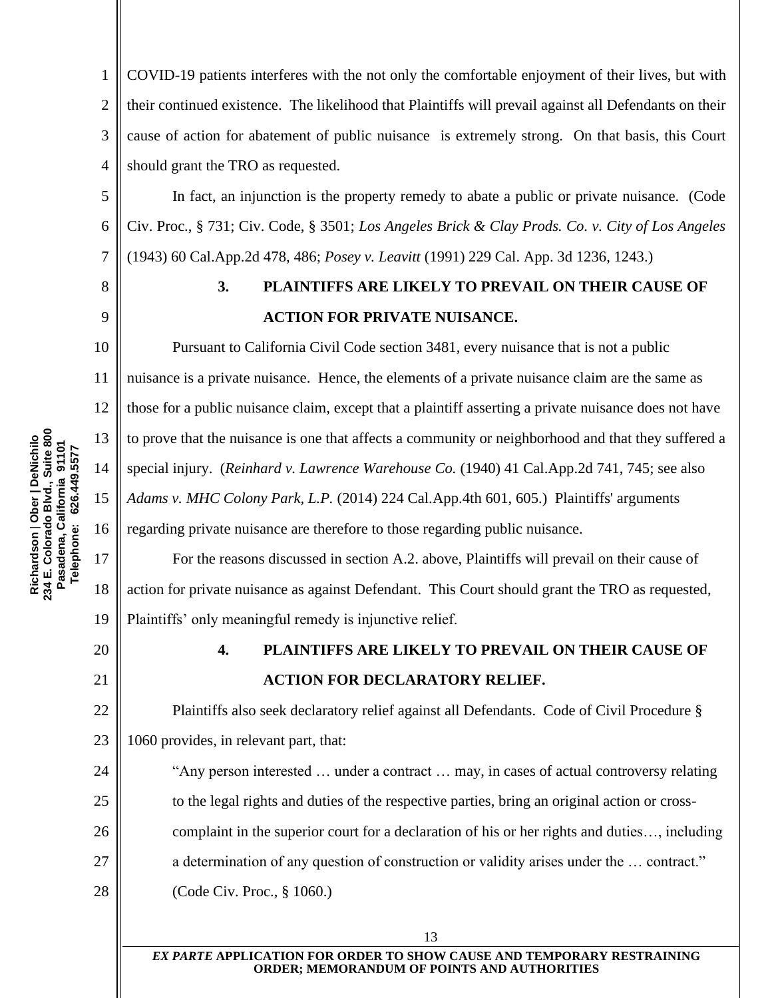1 2 3 4 COVID-19 patients interferes with the not only the comfortable enjoyment of their lives, but with their continued existence. The likelihood that Plaintiffs will prevail against all Defendants on their cause of action for abatement of public nuisance is extremely strong. On that basis, this Court should grant the TRO as requested.

In fact, an injunction is the property remedy to abate a public or private nuisance. (Code Civ. Proc., § 731; Civ. Code, § 3501; *Los Angeles Brick & Clay Prods. Co. v. City of Los Angeles* (1943) 60 Cal.App.2d 478, 486; *Posey v. Leavitt* (1991) 229 Cal. App. 3d 1236, 1243.)

<span id="page-17-0"></span>8

9

10

11

12

13

14

15

16

17

18

19

5

6

7

### **3. PLAINTIFFS ARE LIKELY TO PREVAIL ON THEIR CAUSE OF ACTION FOR PRIVATE NUISANCE.**

Pursuant to California Civil Code section 3481, every nuisance that is not a public nuisance is a private nuisance. Hence, the elements of a private nuisance claim are the same as those for a public nuisance claim, except that a plaintiff asserting a private nuisance does not have to prove that the nuisance is one that affects a community or neighborhood and that they suffered a special injury. (*Reinhard v. Lawrence Warehouse Co.* (1940) 41 Cal.App.2d 741, 745; see also *Adams v. MHC Colony Park, L.P.* (2014) 224 Cal.App.4th 601, 605.) Plaintiffs' arguments regarding private nuisance are therefore to those regarding public nuisance.

For the reasons discussed in section A.2. above, Plaintiffs will prevail on their cause of action for private nuisance as against Defendant. This Court should grant the TRO as requested, Plaintiffs' only meaningful remedy is injunctive relief.

<span id="page-17-1"></span>20

21

24

25

26

27

## **4. PLAINTIFFS ARE LIKELY TO PREVAIL ON THEIR CAUSE OF ACTION FOR DECLARATORY RELIEF.**

22 23 Plaintiffs also seek declaratory relief against all Defendants. Code of Civil Procedure § 1060 provides, in relevant part, that:

"Any person interested … under a contract … may, in cases of actual controversy relating to the legal rights and duties of the respective parties, bring an original action or crosscomplaint in the superior court for a declaration of his or her rights and duties…, including a determination of any question of construction or validity arises under the … contract."

28 (Code Civ. Proc., § 1060.)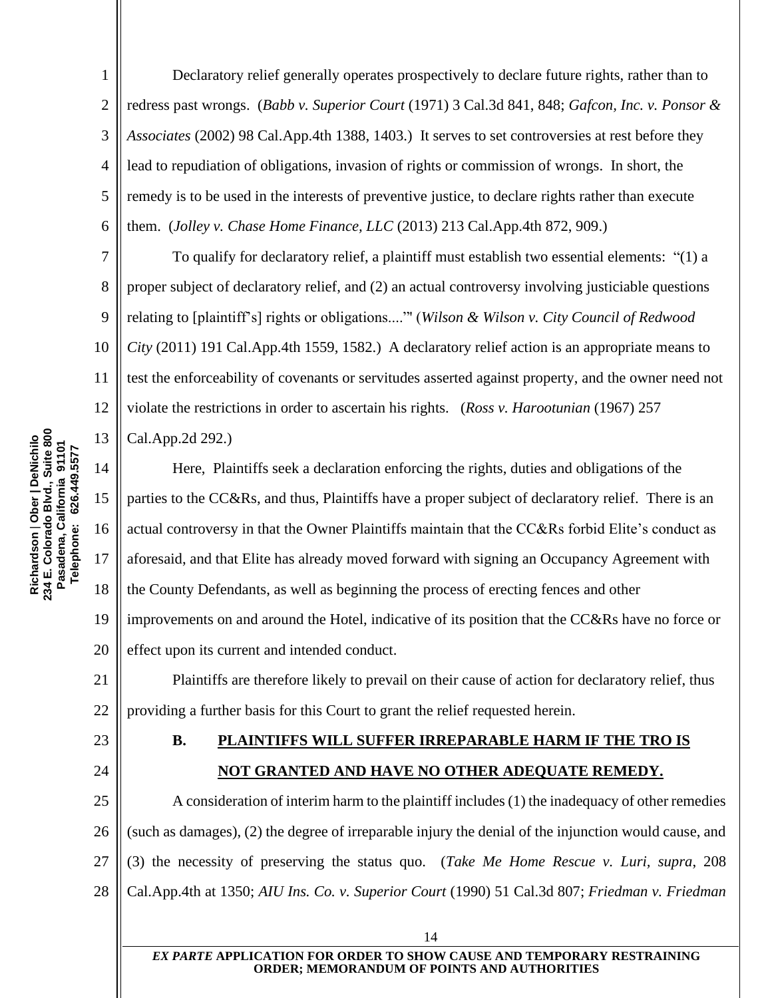Declaratory relief generally operates prospectively to declare future rights, rather than to redress past wrongs. (*Babb v. Superior Court* (1971) 3 Cal.3d 841, 848; *Gafcon, Inc. v. Ponsor & Associates* (2002) 98 Cal.App.4th 1388, 1403.) It serves to set controversies at rest before they lead to repudiation of obligations, invasion of rights or commission of wrongs. In short, the remedy is to be used in the interests of preventive justice, to declare rights rather than execute them. (*Jolley v. Chase Home Finance, LLC* (2013) 213 Cal.App.4th 872, 909.)

10 To qualify for declaratory relief, a plaintiff must establish two essential elements: "(1) a proper subject of declaratory relief, and (2) an actual controversy involving justiciable questions relating to [plaintiff's] rights or obligations...."' (*Wilson & Wilson v. City Council of Redwood City* (2011) 191 Cal.App.4th 1559, 1582.) A declaratory relief action is an appropriate means to test the enforceability of covenants or servitudes asserted against property, and the owner need not violate the restrictions in order to ascertain his rights. (*Ross v. Harootunian* (1967) 257 Cal.App.2d 292.)

14 15 16 17 18 19 20 Here, Plaintiffs seek a declaration enforcing the rights, duties and obligations of the parties to the CC&Rs, and thus, Plaintiffs have a proper subject of declaratory relief. There is an actual controversy in that the Owner Plaintiffs maintain that the CC&Rs forbid Elite's conduct as aforesaid, and that Elite has already moved forward with signing an Occupancy Agreement with the County Defendants, as well as beginning the process of erecting fences and other improvements on and around the Hotel, indicative of its position that the CC&Rs have no force or effect upon its current and intended conduct.

21 22 Plaintiffs are therefore likely to prevail on their cause of action for declaratory relief, thus providing a further basis for this Court to grant the relief requested herein.

<span id="page-18-0"></span>23

24

1

2

3

4

5

6

7

8

9

11

12

13

### **B. PLAINTIFFS WILL SUFFER IRREPARABLE HARM IF THE TRO IS NOT GRANTED AND HAVE NO OTHER ADEQUATE REMEDY.**

25 26 27 28 A consideration of interim harm to the plaintiff includes (1) the inadequacy of other remedies (such as damages), (2) the degree of irreparable injury the denial of the injunction would cause, and (3) the necessity of preserving the status quo. (*Take Me Home Rescue v. Luri, supra*, 208 Cal.App.4th at 1350; *AIU Ins. Co. v. Superior Court* (1990) 51 Cal.3d 807; *Friedman v. Friedman*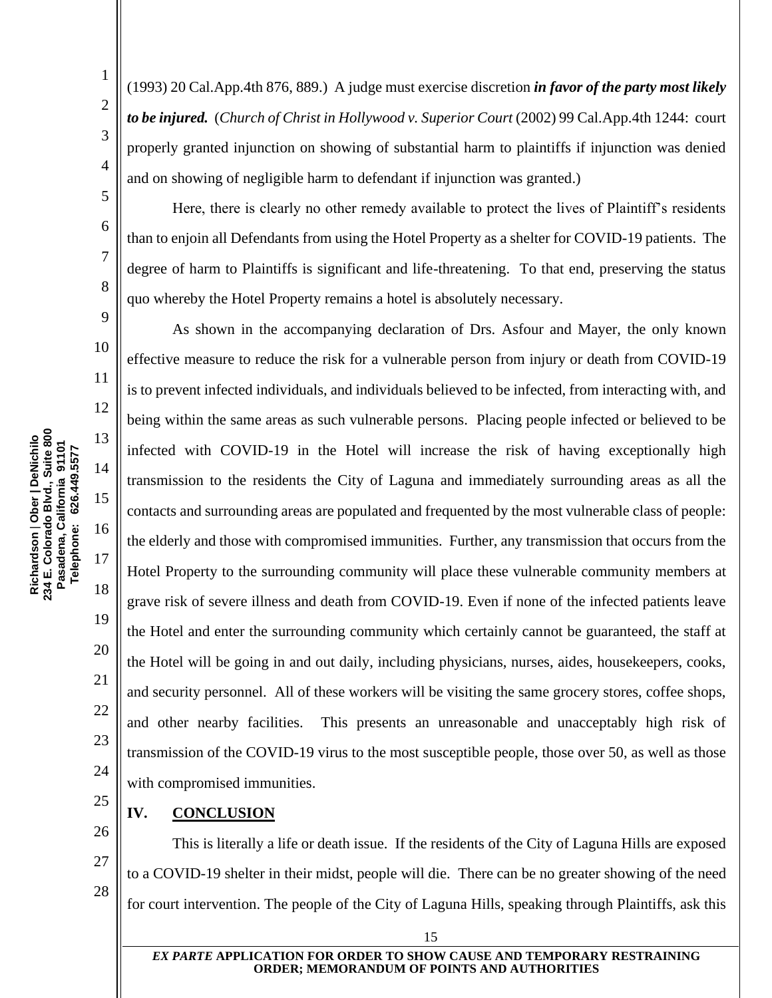2

3

4

5

(1993) 20 Cal.App.4th 876, 889.) A judge must exercise discretion *in favor of the party most likely to be injured.* (*Church of Christ in Hollywood v. Superior Court* (2002) 99 Cal.App.4th 1244: court properly granted injunction on showing of substantial harm to plaintiffs if injunction was denied and on showing of negligible harm to defendant if injunction was granted.)

Here, there is clearly no other remedy available to protect the lives of Plaintiff's residents than to enjoin all Defendants from using the Hotel Property as a shelter for COVID-19 patients. The degree of harm to Plaintiffs is significant and life-threatening. To that end, preserving the status quo whereby the Hotel Property remains a hotel is absolutely necessary.

As shown in the accompanying declaration of Drs. Asfour and Mayer, the only known effective measure to reduce the risk for a vulnerable person from injury or death from COVID-19 is to prevent infected individuals, and individuals believed to be infected, from interacting with, and being within the same areas as such vulnerable persons. Placing people infected or believed to be infected with COVID-19 in the Hotel will increase the risk of having exceptionally high transmission to the residents the City of Laguna and immediately surrounding areas as all the contacts and surrounding areas are populated and frequented by the most vulnerable class of people: the elderly and those with compromised immunities. Further, any transmission that occurs from the Hotel Property to the surrounding community will place these vulnerable community members at grave risk of severe illness and death from COVID-19. Even if none of the infected patients leave the Hotel and enter the surrounding community which certainly cannot be guaranteed, the staff at the Hotel will be going in and out daily, including physicians, nurses, aides, housekeepers, cooks, and security personnel. All of these workers will be visiting the same grocery stores, coffee shops, and other nearby facilities. This presents an unreasonable and unacceptably high risk of transmission of the COVID-19 virus to the most susceptible people, those over 50, as well as those with compromised immunities.

<span id="page-19-0"></span>25 **IV. CONCLUSION**

26

18

19

20

21

22

23

24

27

28

#### 15

to a COVID-19 shelter in their midst, people will die. There can be no greater showing of the need

for court intervention. The people of the City of Laguna Hills, speaking through Plaintiffs, ask this

This is literally a life or death issue. If the residents of the City of Laguna Hills are exposed

*EX PARTE* **APPLICATION FOR ORDER TO SHOW CAUSE AND TEMPORARY RESTRAINING ORDER; MEMORANDUM OF POINTS AND AUTHORITIES**